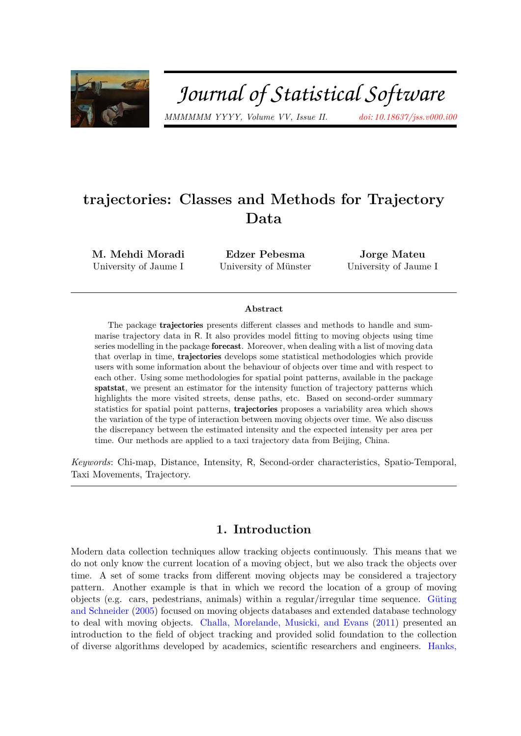

# Journal of Statistical Software

*MMMMMM YYYY, Volume VV, Issue II. [doi: 10.18637/jss.v000.i00](http://dx.doi.org/10.18637/jss.v000.i00)*

# **trajectories: Classes and Methods for Trajectory Data**

**M. Mehdi Moradi** University of Jaume I

**Edzer Pebesma** University of Münster

**Jorge Mateu** University of Jaume I

#### **Abstract**

The package trajectories presents different classes and methods to handle and summarise trajectory data in R. It also provides model fitting to moving objects using time series modelling in the package forecast. Moreover, when dealing with a list of moving data that overlap in time, trajectories develops some statistical methodologies which provide users with some information about the behaviour of objects over time and with respect to each other. Using some methodologies for spatial point patterns, available in the package spatstat, we present an estimator for the intensity function of trajectory patterns which highlights the more visited streets, dense paths, etc. Based on second-order summary statistics for spatial point patterns, trajectories proposes a variability area which shows the variation of the type of interaction between moving objects over time. We also discuss the discrepancy between the estimated intensity and the expected intensity per area per time. Our methods are applied to a taxi trajectory data from Beijing, China.

*Keywords*: Chi-map, Distance, Intensity, R, Second-order characteristics, Spatio-Temporal, Taxi Movements, Trajectory.

# **1. Introduction**

Modern data collection techniques allow tracking objects continuously. This means that we do not only know the current location of a moving object, but we also track the objects over time. A set of some tracks from different moving objects may be considered a trajectory pattern. Another example is that in which we record the location of a group of moving objects (e.g. cars, pedestrians, animals) within a regular/irregular time sequence. [Güting](#page-27-0) [and Schneider](#page-27-0) [\(2005\)](#page-27-0) focused on moving objects databases and extended database technology to deal with moving objects. [Challa, Morelande, Musicki, and Evans](#page-26-0) [\(2011\)](#page-26-0) presented an introduction to the field of object tracking and provided solid foundation to the collection of diverse algorithms developed by academics, scientific researchers and engineers. [Hanks,](#page-27-1)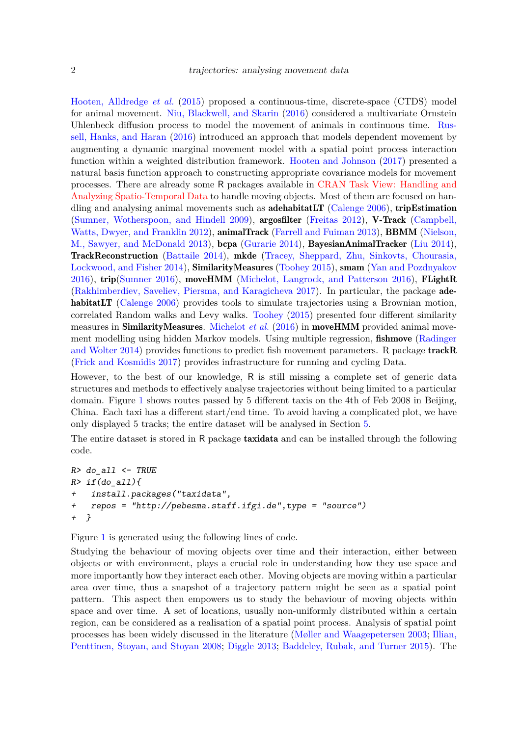[Hooten, Alldredge](#page-27-1) *et al.* [\(2015\)](#page-27-1) proposed a continuous-time, discrete-space (CTDS) model for animal movement. [Niu, Blackwell, and Skarin](#page-27-2) [\(2016\)](#page-27-2) considered a multivariate Ornstein Uhlenbeck diffusion process to model the movement of animals in continuous time. [Rus](#page-28-0)[sell, Hanks, and Haran](#page-28-0) [\(2016\)](#page-28-0) introduced an approach that models dependent movement by augmenting a dynamic marginal movement model with a spatial point process interaction function within a weighted distribution framework. [Hooten and Johnson](#page-27-3) [\(2017\)](#page-27-3) presented a natural basis function approach to constructing appropriate covariance models for movement processes. There are already some R packages available in [CRAN Task View: Handling and](https://cran.r-project.org) [Analyzing Spatio-Temporal Data](https://cran.r-project.org) to handle moving objects. Most of them are focused on handling and analysing animal movements such as **adehabitatLT** (Calenge  $2006$ ), **tripEstimation** [\(Sumner, Wotherspoon, and Hindell 2009\)](#page-28-1), argosfilter [\(Freitas 2012\)](#page-27-4), V-Track [\(Campbell,](#page-26-2) [Watts, Dwyer, and Franklin 2012\)](#page-26-2), animalTrack [\(Farrell and Fuiman 2013\)](#page-27-5), BBMM [\(Nielson,](#page-27-6) [M., Sawyer, and McDonald 2013\)](#page-27-6), bcpa [\(Gurarie 2014\)](#page-27-7), BayesianAnimalTracker [\(Liu 2014\)](#page-27-8), TrackReconstruction [\(Battaile 2014\)](#page-26-3), mkde [\(Tracey, Sheppard, Zhu, Sinkovts, Chourasia,](#page-28-2) [Lockwood, and Fisher 2014\)](#page-28-2), SimilarityMeasures [\(Toohey 2015\)](#page-28-3), smam [\(Yan and Pozdnyakov](#page-28-4) [2016\)](#page-28-4), trip[\(Sumner 2016\)](#page-28-5), moveHMM [\(Michelot, Langrock, and Patterson 2016\)](#page-27-9), FLightR [\(Rakhimberdiev, Saveliev, Piersma, and Karagicheva 2017\)](#page-28-6). In particular, the package ade-habitatLT [\(Calenge 2006\)](#page-26-1) provides tools to simulate trajectories using a Brownian motion, correlated Random walks and Levy walks. [Toohey](#page-28-3) [\(2015\)](#page-28-3) presented four different similarity measures in SimilarityMeasures. [Michelot](#page-27-9) *et al.* [\(2016\)](#page-27-9) in moveHMM provided animal movement modelling using hidden Markov models. Using multiple regression, fishmove [\(Radinger](#page-28-7) [and Wolter 2014\)](#page-28-7) provides functions to predict fish movement parameters. R package track  $\bf{R}$ [\(Frick and Kosmidis 2017\)](#page-27-10) provides infrastructure for running and cycling Data.

However, to the best of our knowledge, R is still missing a complete set of generic data structures and methods to effectively analyse trajectories without being limited to a particular domain. Figure [1](#page-2-0) shows routes passed by 5 different taxis on the 4th of Feb 2008 in Beijing, China. Each taxi has a different start/end time. To avoid having a complicated plot, we have only displayed 5 tracks; the entire dataset will be analysed in Section [5.](#page-12-0)

The entire dataset is stored in R package **taxidata** and can be installed through the following code.

```
R> do_all <- TRUE
R> if(do_all){
+ install.packages("taxidata",
+ repos = "http://pebesma.staff.ifgi.de",type = "source")
+ }
```
Figure [1](#page-2-0) is generated using the following lines of code.

Studying the behaviour of moving objects over time and their interaction, either between objects or with environment, plays a crucial role in understanding how they use space and more importantly how they interact each other. Moving objects are moving within a particular area over time, thus a snapshot of a trajectory pattern might be seen as a spatial point pattern. This aspect then empowers us to study the behaviour of moving objects within space and over time. A set of locations, usually non-uniformly distributed within a certain region, can be considered as a realisation of a spatial point process. Analysis of spatial point processes has been widely discussed in the literature [\(Møller and Waagepetersen 2003;](#page-27-11) [Illian,](#page-27-12) [Penttinen, Stoyan, and Stoyan 2008;](#page-27-12) [Diggle 2013;](#page-27-13) [Baddeley, Rubak, and Turner 2015\)](#page-26-4). The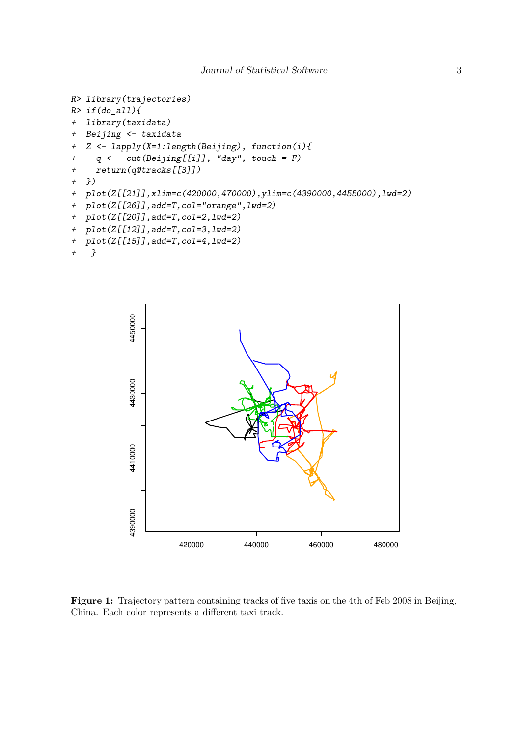```
R> library(trajectories)
R> if(do all){
+ library(taxidata)
+ Beijing <- taxidata
+ Z <- lapply(X=1:length(Beijing), function(i){
+ q <- cut(Beijing[[i]], "day", touch = F)
+ return(q@tracks[[3]])
+ })
+ plot(Z[[21]],xlim=c(420000,470000),ylim=c(4390000,4455000),lwd=2)
+ plot(Z[[26]],add=T,col="orange",lwd=2)
+ plot(Z[[20]],add=T,col=2,lwd=2)
+ plot(Z[[12]],add=T,col=3,lwd=2)
+ plot(Z[[15]],add=T,col=4,lwd=2)
```

```
+ }
```


Figure 1: Trajectory pattern containing tracks of five taxis on the 4th of Feb 2008 in Beijing, China. Each color represents a different taxi track.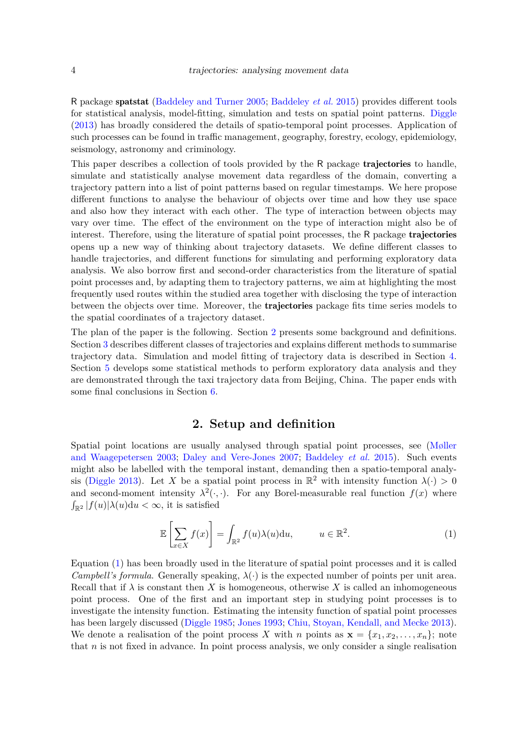R package spatstat [\(Baddeley and Turner 2005;](#page-26-5) [Baddeley](#page-26-4) *et al.* [2015\)](#page-26-4) provides different tools for statistical analysis, model-fitting, simulation and tests on spatial point patterns. [Diggle](#page-27-13) [\(2013\)](#page-27-13) has broadly considered the details of spatio-temporal point processes. Application of such processes can be found in traffic management, geography, forestry, ecology, epidemiology, seismology, astronomy and criminology.

This paper describes a collection of tools provided by the R package **trajectories** to handle, simulate and statistically analyse movement data regardless of the domain, converting a trajectory pattern into a list of point patterns based on regular timestamps. We here propose different functions to analyse the behaviour of objects over time and how they use space and also how they interact with each other. The type of interaction between objects may vary over time. The effect of the environment on the type of interaction might also be of interest. Therefore, using the literature of spatial point processes, the R package trajectories opens up a new way of thinking about trajectory datasets. We define different classes to handle trajectories, and different functions for simulating and performing exploratory data analysis. We also borrow first and second-order characteristics from the literature of spatial point processes and, by adapting them to trajectory patterns, we aim at highlighting the most frequently used routes within the studied area together with disclosing the type of interaction between the objects over time. Moreover, the trajectories package fits time series models to the spatial coordinates of a trajectory dataset.

The plan of the paper is the following. Section [2](#page-3-0) presents some background and definitions. Section [3](#page-4-0) describes different classes of trajectories and explains different methods to summarise trajectory data. Simulation and model fitting of trajectory data is described in Section [4.](#page-9-0) Section [5](#page-12-0) develops some statistical methods to perform exploratory data analysis and they are demonstrated through the taxi trajectory data from Beijing, China. The paper ends with some final conclusions in Section [6.](#page-24-0)

# **2. Setup and definition**

<span id="page-3-0"></span>Spatial point locations are usually analysed through spatial point processes, see [\(Møller](#page-27-11) [and Waagepetersen 2003;](#page-27-11) [Daley and Vere-Jones 2007;](#page-26-6) [Baddeley](#page-26-4) *et al.* [2015\)](#page-26-4). Such events might also be labelled with the temporal instant, demanding then a spatio-temporal analy-sis [\(Diggle 2013\)](#page-27-13). Let *X* be a spatial point process in  $\mathbb{R}^2$  with intensity function  $\lambda(\cdot) > 0$ and second-moment intensity  $\lambda^2(\cdot, \cdot)$ . For any Borel-measurable real function  $f(x)$  where  $\int_{\mathbb{R}^2} |f(u)| \lambda(u) \mathrm{d}u < \infty$ , it is satisfied

<span id="page-3-1"></span>
$$
\mathbb{E}\left[\sum_{x\in X} f(x)\right] = \int_{\mathbb{R}^2} f(u)\lambda(u) \mathrm{d}u, \qquad u \in \mathbb{R}^2. \tag{1}
$$

Equation [\(1\)](#page-3-1) has been broadly used in the literature of spatial point processes and it is called *Campbell's formula*. Generally speaking,  $\lambda(\cdot)$  is the expected number of points per unit area. Recall that if  $\lambda$  is constant then X is homogeneous, otherwise X is called an inhomogeneous point process. One of the first and an important step in studying point processes is to investigate the intensity function. Estimating the intensity function of spatial point processes has been largely discussed [\(Diggle 1985;](#page-26-7) [Jones 1993;](#page-27-14) [Chiu, Stoyan, Kendall, and Mecke 2013\)](#page-26-8). We denote a realisation of the point process X with *n* points as  $\mathbf{x} = \{x_1, x_2, \ldots, x_n\}$ ; note that *n* is not fixed in advance. In point process analysis, we only consider a single realisation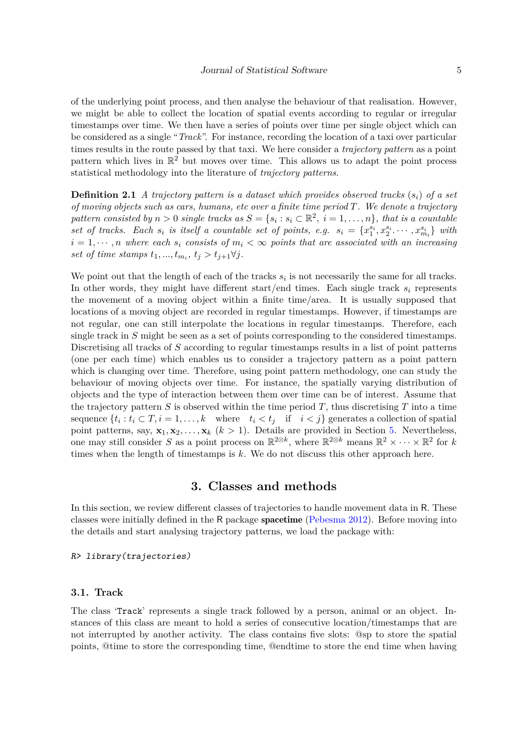of the underlying point process, and then analyse the behaviour of that realisation. However, we might be able to collect the location of spatial events according to regular or irregular timestamps over time. We then have a series of points over time per single object which can be considered as a single "*Track*". For instance, recording the location of a taxi over particular times results in the route passed by that taxi. We here consider a *trajectory pattern* as a point pattern which lives in  $\mathbb{R}^2$  but moves over time. This allows us to adapt the point process statistical methodology into the literature of *trajectory patterns*.

**Definition 2.1** *A trajectory pattern is a dataset which provides observed tracks* (*si*) *of a set of moving objects such as cars, humans, etc over a finite time period T. We denote a trajectory pattern consisted by*  $n > 0$  *single tracks as*  $S = \{s_i : s_i \in \mathbb{R}^2, i = 1, ..., n\}$ *, that is a countable* set of tracks. Each  $s_i$  is itself a countable set of points, e.g.  $s_i = \{x_1^{s_i}, x_2^{s_i} \cdots, x_{m_i}^{s_i}\}\$  with  $i = 1, \dots, n$  where each  $s_i$  consists of  $m_i < \infty$  points that are associated with an increasing *set of time stamps*  $t_1, ..., t_{m_i}, t_j > t_{j+1} \forall j$ .

We point out that the length of each of the tracks  $s_i$  is not necessarily the same for all tracks. In other words, they might have different start/end times. Each single track *s<sup>i</sup>* represents the movement of a moving object within a finite time/area. It is usually supposed that locations of a moving object are recorded in regular timestamps. However, if timestamps are not regular, one can still interpolate the locations in regular timestamps. Therefore, each single track in *S* might be seen as a set of points corresponding to the considered timestamps. Discretising all tracks of *S* according to regular timestamps results in a list of point patterns (one per each time) which enables us to consider a trajectory pattern as a point pattern which is changing over time. Therefore, using point pattern methodology, one can study the behaviour of moving objects over time. For instance, the spatially varying distribution of objects and the type of interaction between them over time can be of interest. Assume that the trajectory pattern  $S$  is observed within the time period  $T$ , thus discretising  $T$  into a time sequence  $\{t_i : t_i \subset T, i = 1, \ldots, k \text{ where } t_i < t_j \text{ if } i < j \}$  generates a collection of spatial point patterns, say,  $\mathbf{x}_1, \mathbf{x}_2, \ldots, \mathbf{x}_k$  ( $k > 1$ ). Details are provided in Section [5.](#page-12-0) Nevertheless, one may still consider *S* as a point process on  $\mathbb{R}^{2\otimes k}$ , where  $\mathbb{R}^{2\otimes k}$  means  $\mathbb{R}^2 \times \cdots \times \mathbb{R}^2$  for *k* times when the length of timestamps is *k*. We do not discuss this other approach here.

# **3. Classes and methods**

<span id="page-4-0"></span>In this section, we review different classes of trajectories to handle movement data in R. These classes were initially defined in the R package spacetime [\(Pebesma 2012\)](#page-28-8). Before moving into the details and start analysing trajectory patterns, we load the package with:

R> library(trajectories)

#### **3.1. Track**

The class 'Track' represents a single track followed by a person, animal or an object. Instances of this class are meant to hold a series of consecutive location/timestamps that are not interrupted by another activity. The class contains five slots: @sp to store the spatial points, @time to store the corresponding time, @endtime to store the end time when having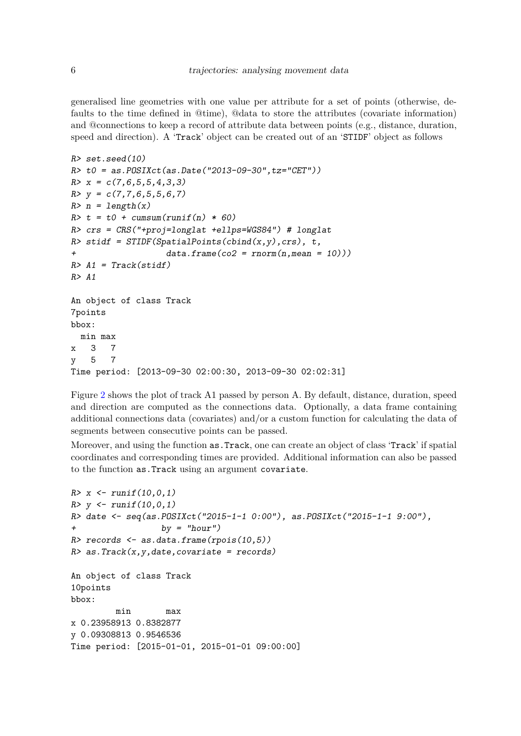generalised line geometries with one value per attribute for a set of points (otherwise, defaults to the time defined in @time), @data to store the attributes (covariate information) and @connections to keep a record of attribute data between points (e.g., distance, duration, speed and direction). A 'Track' object can be created out of an 'STIDF' object as follows

```
R> set.seed(10)
R t0 = as. POSIXct(as. Date("2013-09-30", tz="CET"))
R > x = c(7,6,5,5,4,3,3)R > y = c(7,7,6,5,5,6,7)R> n = length(x)R > t = t0 + \text{cumsum}(\text{runif}(n) * 60)R> crs = CRS("+proj=longlat +ellps=WGS84") # longlat
R> stidf = STIDF(SpatialPoints(cbind(x,y), crs), t,
+ data.frame(co2 = rnorm(n,mean = 10)))
R > A1 = Track(stat)R> A1
An object of class Track
7points
bbox:
 min max
x 3 7
y 5 7
Time period: [2013-09-30 02:00:30, 2013-09-30 02:02:31]
```
Figure [2](#page-6-0) shows the plot of track A1 passed by person A. By default, distance, duration, speed and direction are computed as the connections data. Optionally, a data frame containing additional connections data (covariates) and/or a custom function for calculating the data of segments between consecutive points can be passed.

Moreover, and using the function as.Track, one can create an object of class 'Track' if spatial coordinates and corresponding times are provided. Additional information can also be passed to the function as.Track using an argument covariate.

```
R > x \leftarrow runif(10,0,1)R > v \le - \text{runif}(10, 0, 1)R> date <- seq(as.POSIXct("2015-1-1 0:00"), as.POSIXct("2015-1-1 9:00"),
+ by = "hour")
R> records \leq as.data.frame(rpois(10,5))
R > as. Track(x, y, date, covariate = records)An object of class Track
10points
bbox:
         min max
x 0.23958913 0.8382877
y 0.09308813 0.9546536
Time period: [2015-01-01, 2015-01-01 09:00:00]
```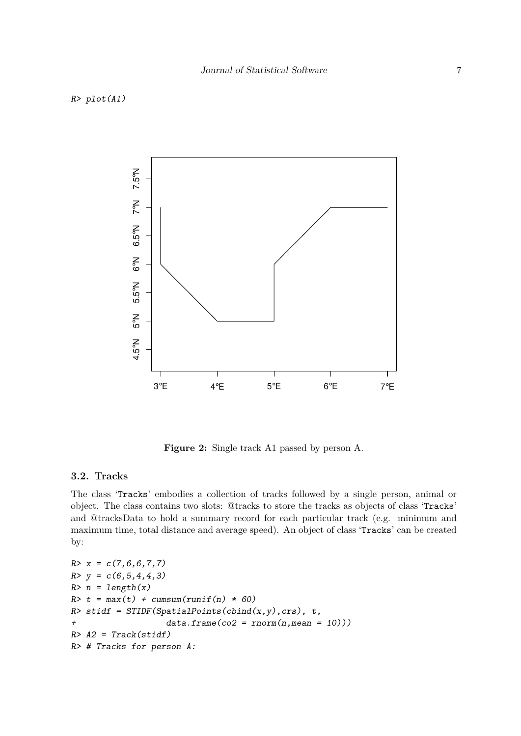#### <span id="page-6-0"></span>R> plot(A1)



**Figure 2:** Single track A1 passed by person A.

# **3.2. Tracks**

The class 'Tracks' embodies a collection of tracks followed by a single person, animal or object. The class contains two slots: @tracks to store the tracks as objects of class 'Tracks' and @tracksData to hold a summary record for each particular track (e.g. minimum and maximum time, total distance and average speed). An object of class 'Tracks' can be created by:

```
R > x = c(7, 6, 6, 7, 7)R > y = c(6,5,4,4,3)R> n = length(x)R> t = max(t) + cumsum(runif(n) * 60)
R> stidf = STIDF(SpatialPoints(cbind(x,y), crs), t,
+ data.frame(co2 = rnorm(n,mean = 10)))
R > A2 = \text{Track}(stidf)R> # Tracks for person A:
```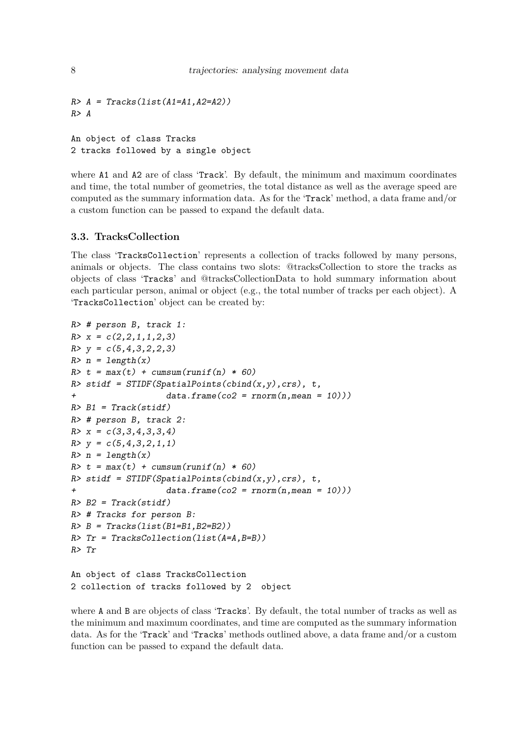```
R > A = Tracks(list(A1=A1, A2=A2))R > AAn object of class Tracks
```
2 tracks followed by a single object

where A1 and A2 are of class 'Track'. By default, the minimum and maximum coordinates and time, the total number of geometries, the total distance as well as the average speed are computed as the summary information data. As for the 'Track' method, a data frame and/or a custom function can be passed to expand the default data.

# **3.3. TracksCollection**

The class 'TracksCollection' represents a collection of tracks followed by many persons, animals or objects. The class contains two slots: @tracksCollection to store the tracks as objects of class 'Tracks' and @tracksCollectionData to hold summary information about each particular person, animal or object (e.g., the total number of tracks per each object). A 'TracksCollection' object can be created by:

```
R> # person B, track 1:
R > x = c(2,2,1,1,2,3)R > y = c(5,4,3,2,2,3)R> n = length(x)R> t = max(t) + cumsum(runif(n) * 60)
R> stidf = STIDF(SpatialPoints(cbind(x,y), crs), t,
+ data.frame(co2 = rnorm(n,mean = 10)))
R > B1 = \text{Track}(stidf)R> # person B, track 2:
R > x = c(3,3,4,3,3,4)R > y = c(5, 4, 3, 2, 1, 1)R> n = length(x)R> t = max(t) + cumsum(runif(n) * 60)
R> stidf = STIDF(SpatialPoints(cbind(x,y), crs), t,
                   data-frame(co2 = rnorm(n,mean = 10))R > B2 = Track(stat)R> # Tracks for person B:
R > B = \text{Tracks}(list(B1=B1, B2=B2))R> Tr = TracksCollection(list(A=A, B=B))R> Tr
An object of class TracksCollection
```
2 collection of tracks followed by 2 object

where A and B are objects of class 'Tracks'. By default, the total number of tracks as well as the minimum and maximum coordinates, and time are computed as the summary information data. As for the 'Track' and 'Tracks' methods outlined above, a data frame and/or a custom function can be passed to expand the default data.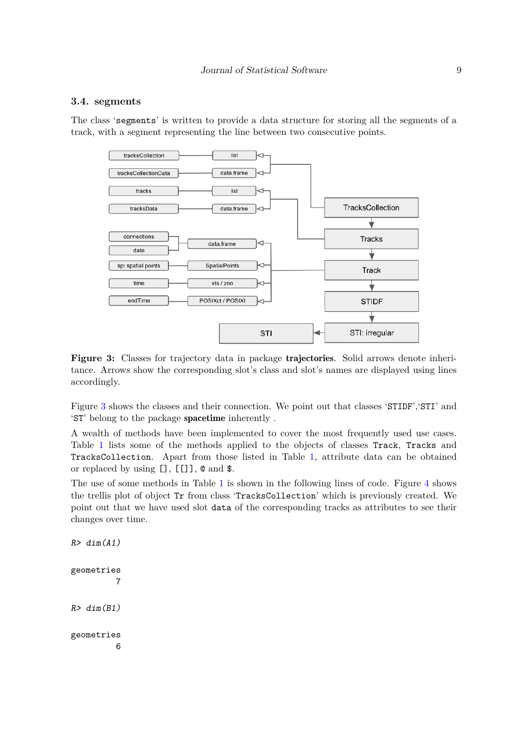#### **3.4. segments**

<span id="page-8-0"></span>The class 'segments' is written to provide a data structure for storing all the segments of a track, with a segment representing the line between two consecutive points.



Figure 3: Classes for trajectory data in package trajectories. Solid arrows denote inheritance. Arrows show the corresponding slot's class and slot's names are displayed using lines accordingly.

Figure [3](#page-8-0) shows the classes and their connection. We point out that classes 'STIDF', 'STI' and 'ST' belong to the package spacetime inherently .

A wealth of methods have been implemented to cover the most frequently used use cases. Table [1](#page-9-1) lists some of the methods applied to the objects of classes Track, Tracks and TracksCollection. Apart from those listed in Table [1,](#page-9-1) attribute data can be obtained or replaced by using [], [[]], @ and \$.

The use of some methods in Table [1](#page-9-1) is shown in the following lines of code. Figure [4](#page-10-0) shows the trellis plot of object Tr from class 'TracksCollection' which is previously created. We point out that we have used slot data of the corresponding tracks as attributes to see their changes over time.

```
geometries
         7
R > dim(B1)geometries
         6
```
 $R > dim(A1)$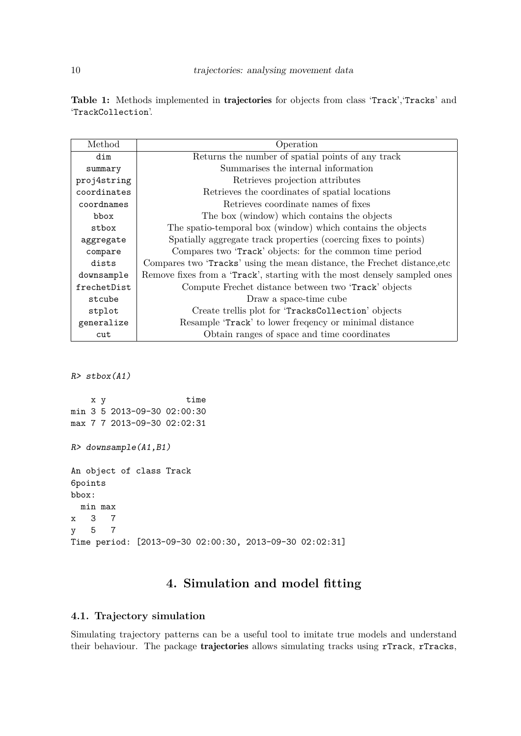<span id="page-9-1"></span>Table 1: Methods implemented in trajectories for objects from class 'Track', 'Tracks' and 'TrackCollection'.

| Method      | Operation                                                                 |
|-------------|---------------------------------------------------------------------------|
| dim         | Returns the number of spatial points of any track                         |
| summary     | Summarises the internal information                                       |
| proj4string | Retrieves projection attributes                                           |
| coordinates | Retrieves the coordinates of spatial locations                            |
| coordnames  | Retrieves coordinate names of fixes                                       |
| bbox        | The box (window) which contains the objects                               |
| stbox       | The spatio-temporal box (window) which contains the objects               |
| aggregate   | Spatially aggregate track properties (coercing fixes to points)           |
| compare     | Compares two 'Track' objects: for the common time period                  |
| dists       | Compares two 'Tracks' using the mean distance, the Frechet distance, etc. |
| downsample  | Remove fixes from a 'Track', starting with the most densely sampled ones  |
| frechetDist | Compute Frechet distance between two 'Track' objects                      |
| stcube      | Draw a space-time cube                                                    |
| stplot      | Create trellis plot for 'TracksCollection' objects                        |
| generalize  | Resample 'Track' to lower frequency or minimal distance                   |
| cut         | Obtain ranges of space and time coordinates                               |

R> stbox(A1)

x y time min 3 5 2013-09-30 02:00:30 max 7 7 2013-09-30 02:02:31 R> downsample(A1,B1) An object of class Track 6points bbox: min max x 3 7 y 5 7 Time period: [2013-09-30 02:00:30, 2013-09-30 02:02:31]

# **4. Simulation and model fitting**

# <span id="page-9-0"></span>**4.1. Trajectory simulation**

Simulating trajectory patterns can be a useful tool to imitate true models and understand their behaviour. The package trajectories allows simulating tracks using rTrack, rTracks,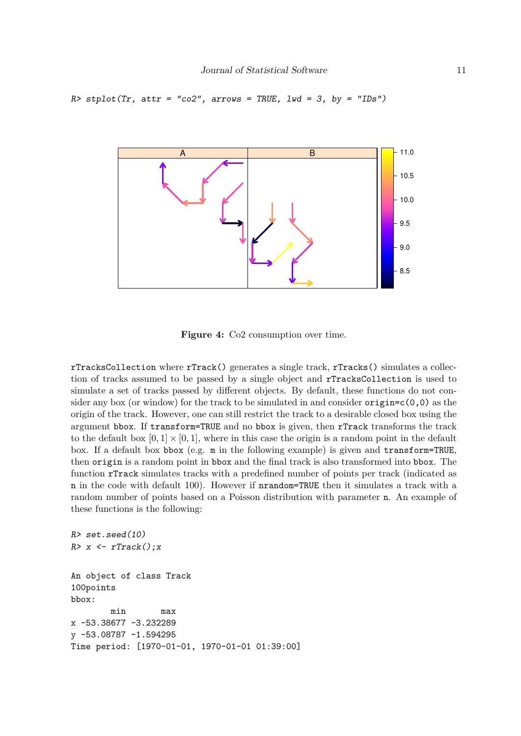```
R> stplot(Tr, attr = "co2", arrows = TRUE, lwd = 3, by = "IDs")
```


**Figure 4:** Co2 consumption over time.

rTracksCollection where rTrack() generates a single track, rTracks() simulates a collection of tracks assumed to be passed by a single object and rTracksCollection is used to simulate a set of tracks passed by different objects. By default, these functions do not consider any box (or window) for the track to be simulated in and consider  $origin = c(0,0)$  as the origin of the track. However, one can still restrict the track to a desirable closed box using the argument bbox. If transform=TRUE and no bbox is given, then rTrack transforms the track to the default box  $[0,1] \times [0,1]$ , where in this case the origin is a random point in the default box. If a default box bbox (e.g. m in the following example) is given and transform=TRUE, then origin is a random point in bbox and the final track is also transformed into bbox. The function rTrack simulates tracks with a predefined number of points per track (indicated as n in the code with default 100). However if nrandom=TRUE then it simulates a track with a random number of points based on a Poisson distribution with parameter n. An example of these functions is the following:

```
R> set. seed(10)R> x <- rTrack();xAn object of class Track
100points
bbox:
       min max
x -53.38677 -3.232289
y -53.08787 -1.594295
Time period: [1970-01-01, 1970-01-01 01:39:00]
```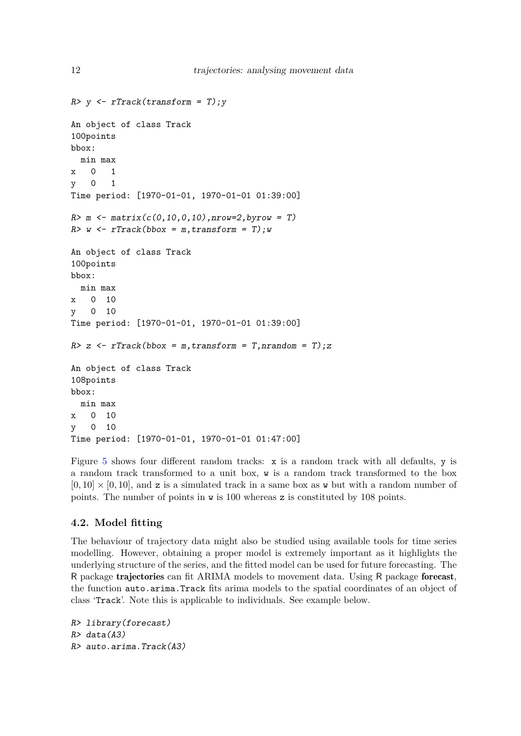```
R> y <- rTrack(transform = T); y
An object of class Track
100points
bbox:
  min max
x 0 1
y 0 1
Time period: [1970-01-01, 1970-01-01 01:39:00]
R > m <- matrix(c(0, 10, 0, 10), nrow=2, by row = T)R w \leftarrow rTrack(bbox = m, transform = T); w
An object of class Track
100points
bbox:
  min max
x 0 10
y 0 10
Time period: [1970-01-01, 1970-01-01 01:39:00]
R> z <- rTrack(bbox = m, transform = T, nrandom = T); z
An object of class Track
108points
bbox:
  min max
x 0 10
y 0 10
Time period: [1970-01-01, 1970-01-01 01:47:00]
```
Figure [5](#page-12-1) shows four different random tracks: x is a random track with all defaults, y is a random track transformed to a unit box, w is a random track transformed to the box  $[0, 10] \times [0, 10]$ , and z is a simulated track in a same box as w but with a random number of points. The number of points in  $\bf{w}$  is 100 whereas  $\bf{z}$  is constituted by 108 points.

## **4.2. Model fitting**

The behaviour of trajectory data might also be studied using available tools for time series modelling. However, obtaining a proper model is extremely important as it highlights the underlying structure of the series, and the fitted model can be used for future forecasting. The R package trajectories can fit ARIMA models to movement data. Using R package forecast, the function auto.arima.Track fits arima models to the spatial coordinates of an object of class 'Track'. Note this is applicable to individuals. See example below.

```
R> library(forecast)
R> data(A3)R> auto.arima.Track(A3)
```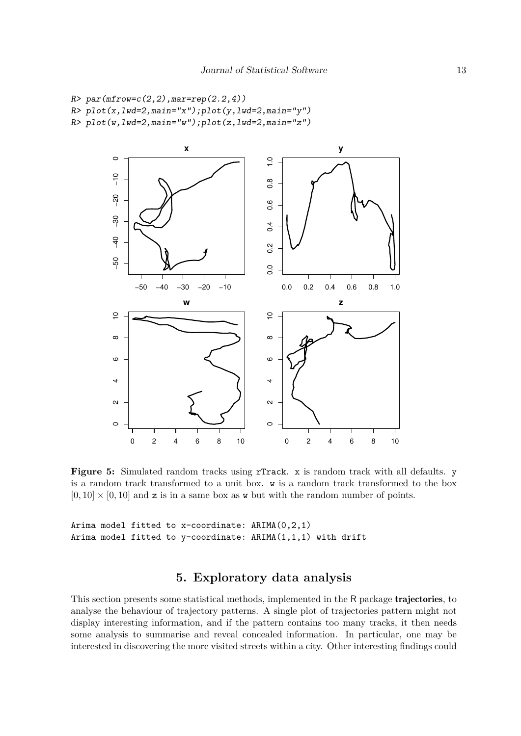```
R > par(mfrow=c(2,2),mar=rep(2.2,4))R> plot(x, lwd=2, main="x"); plot(y, lwd=2, main="y")
R> plot(w,lwd=2,main="w");plot(z,lwd=2,main="z")
```


Figure 5: Simulated random tracks using rTrack. x is random track with all defaults. y is a random track transformed to a unit box. w is a random track transformed to the box  $[0, 10] \times [0, 10]$  and z is in a same box as w but with the random number of points.

```
Arima model fitted to x-coordinate: ARIMA(0,2,1)
Arima model fitted to y-coordinate: ARIMA(1,1,1) with drift
```
# **5. Exploratory data analysis**

<span id="page-12-0"></span>This section presents some statistical methods, implemented in the R package trajectories, to analyse the behaviour of trajectory patterns. A single plot of trajectories pattern might not display interesting information, and if the pattern contains too many tracks, it then needs some analysis to summarise and reveal concealed information. In particular, one may be interested in discovering the more visited streets within a city. Other interesting findings could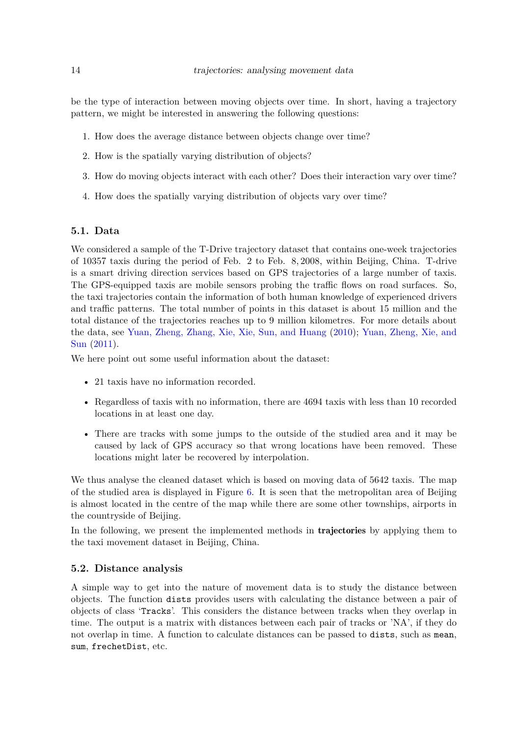be the type of interaction between moving objects over time. In short, having a trajectory pattern, we might be interested in answering the following questions:

- 1. How does the average distance between objects change over time?
- 2. How is the spatially varying distribution of objects?
- 3. How do moving objects interact with each other? Does their interaction vary over time?
- 4. How does the spatially varying distribution of objects vary over time?

## **5.1. Data**

We considered a sample of the T-Drive trajectory dataset that contains one-week trajectories of 10357 taxis during the period of Feb. 2 to Feb. 8*,* 2008, within Beijing, China. T-drive is a smart driving direction services based on GPS trajectories of a large number of taxis. The GPS-equipped taxis are mobile sensors probing the traffic flows on road surfaces. So, the taxi trajectories contain the information of both human knowledge of experienced drivers and traffic patterns. The total number of points in this dataset is about 15 million and the total distance of the trajectories reaches up to 9 million kilometres. For more details about the data, see [Yuan, Zheng, Zhang, Xie, Xie, Sun, and Huang](#page-28-9) [\(2010\)](#page-28-9); [Yuan, Zheng, Xie, and](#page-28-10) [Sun](#page-28-10) [\(2011\)](#page-28-10).

We here point out some useful information about the dataset:

- 21 taxis have no information recorded.
- Regardless of taxis with no information, there are 4694 taxis with less than 10 recorded locations in at least one day.
- There are tracks with some jumps to the outside of the studied area and it may be caused by lack of GPS accuracy so that wrong locations have been removed. These locations might later be recovered by interpolation.

We thus analyse the cleaned dataset which is based on moving data of 5642 taxis. The map of the studied area is displayed in Figure [6.](#page-14-0) It is seen that the metropolitan area of Beijing is almost located in the centre of the map while there are some other townships, airports in the countryside of Beijing.

In the following, we present the implemented methods in **trajectories** by applying them to the taxi movement dataset in Beijing, China.

#### <span id="page-13-0"></span>**5.2. Distance analysis**

A simple way to get into the nature of movement data is to study the distance between objects. The function dists provides users with calculating the distance between a pair of objects of class 'Tracks'. This considers the distance between tracks when they overlap in time. The output is a matrix with distances between each pair of tracks or 'NA', if they do not overlap in time. A function to calculate distances can be passed to dists, such as mean, sum, frechetDist, etc.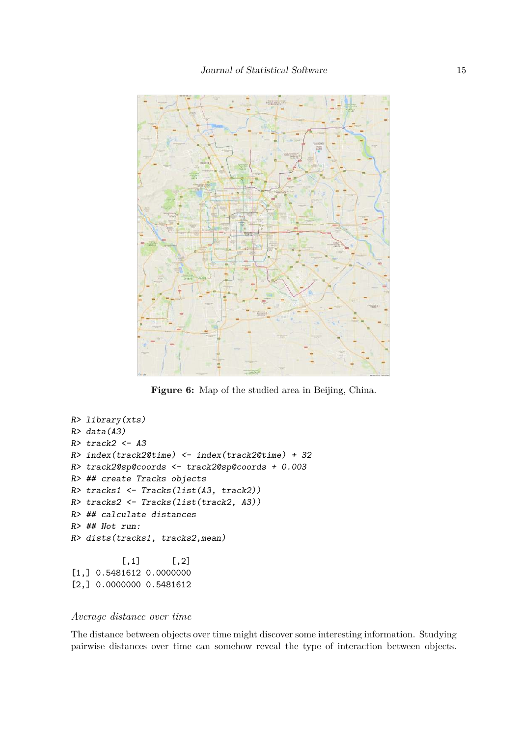<span id="page-14-0"></span>

Figure 6: Map of the studied area in Beijing, China.

```
R> library(xts)
R> data(A3)R> track2 <- A3R> index(track2@time) <- index(track2@time) + 32
R> track2@sp@coords <- track2@sp@coords + 0.003
R> ## create Tracks objects
R> tracks1 <- Tracks(list(A3, track2))
R> tracks2 <- Tracks(list(track2, A3))
R> ## calculate distances
R> ## Not run:
R> dists(tracks1, tracks2,mean)
          [,1] [,2][1,] 0.5481612 0.0000000
[2,] 0.0000000 0.5481612
```
# *Average distance over time*

The distance between objects over time might discover some interesting information. Studying pairwise distances over time can somehow reveal the type of interaction between objects.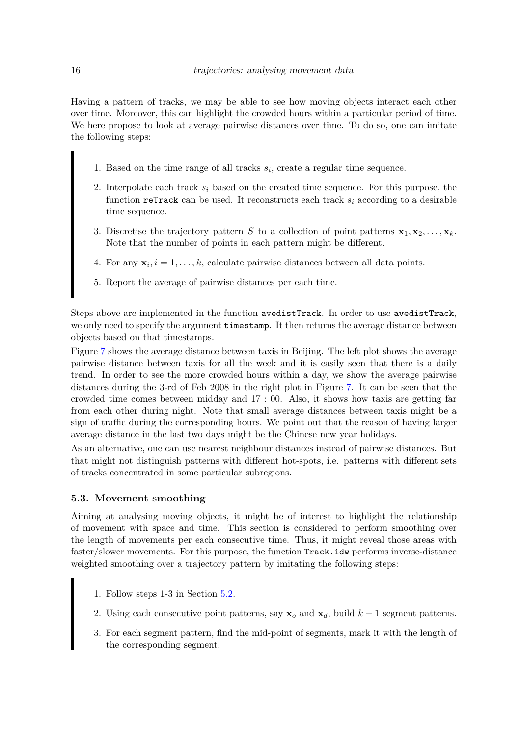Having a pattern of tracks, we may be able to see how moving objects interact each other over time. Moreover, this can highlight the crowded hours within a particular period of time. We here propose to look at average pairwise distances over time. To do so, one can imitate the following steps:

- 1. Based on the time range of all tracks  $s_i$ , create a regular time sequence.
- 2. Interpolate each track  $s_i$  based on the created time sequence. For this purpose, the function reTrack can be used. It reconstructs each track *s<sup>i</sup>* according to a desirable time sequence.
- 3. Discretise the trajectory pattern *S* to a collection of point patterns  $\mathbf{x}_1, \mathbf{x}_2, \ldots, \mathbf{x}_k$ . Note that the number of points in each pattern might be different.
- 4. For any  $\mathbf{x}_i, i = 1, \ldots, k$ , calculate pairwise distances between all data points.
- 5. Report the average of pairwise distances per each time.

Steps above are implemented in the function avedistTrack. In order to use avedistTrack, we only need to specify the argument timestamp. It then returns the average distance between objects based on that timestamps.

Figure [7](#page-16-0) shows the average distance between taxis in Beijing. The left plot shows the average pairwise distance between taxis for all the week and it is easily seen that there is a daily trend. In order to see the more crowded hours within a day, we show the average pairwise distances during the 3-rd of Feb 2008 in the right plot in Figure [7.](#page-16-0) It can be seen that the crowded time comes between midday and 17 : 00. Also, it shows how taxis are getting far from each other during night. Note that small average distances between taxis might be a sign of traffic during the corresponding hours. We point out that the reason of having larger average distance in the last two days might be the Chinese new year holidays.

As an alternative, one can use nearest neighbour distances instead of pairwise distances. But that might not distinguish patterns with different hot-spots, i.e. patterns with different sets of tracks concentrated in some particular subregions.

#### **5.3. Movement smoothing**

Aiming at analysing moving objects, it might be of interest to highlight the relationship of movement with space and time. This section is considered to perform smoothing over the length of movements per each consecutive time. Thus, it might reveal those areas with faster/slower movements. For this purpose, the function Track.idw performs inverse-distance weighted smoothing over a trajectory pattern by imitating the following steps:

- 1. Follow steps 1-3 in Section [5.2.](#page-13-0)
- 2. Using each consecutive point patterns, say  $\mathbf{x}_o$  and  $\mathbf{x}_d$ , build  $k-1$  segment patterns.
- 3. For each segment pattern, find the mid-point of segments, mark it with the length of the corresponding segment.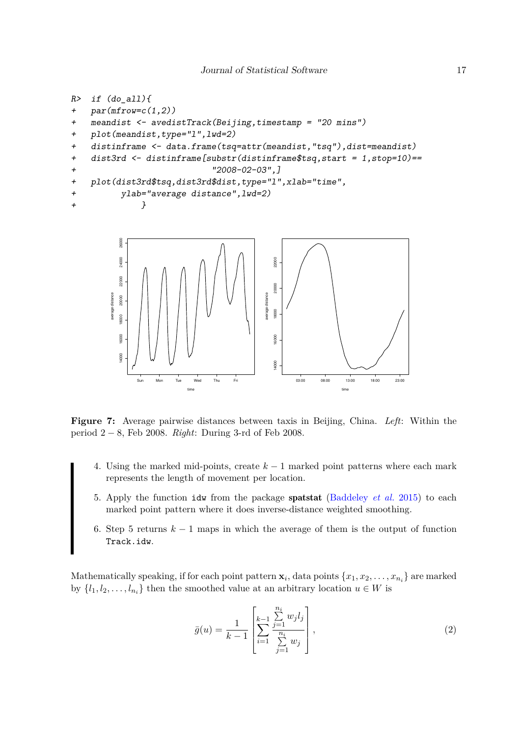```
R> if (do_all){
+ par(mfrow=c(1,2))+ meandist <- avedistTrack(Beijing,timestamp = "20 mins")
+ plot(meandist,type="l",lwd=2)
+ distinframe <- data.frame(tsq=attr(meandist,"tsq"),dist=meandist)
+ dist3rd <- distinframe[substr(distinframe$tsq,start = 1,stop=10)==
+ "2008-02-03",]
+ plot(dist3rd$tsq,dist3rd$dist,type="l",xlab="time",
+ ylab="average distance",lwd=2)
+ }
        26000
        24000
                                    22000
```


**Figure 7:** Average pairwise distances between taxis in Beijing, China. *Left*: Within the period 2 − 8, Feb 2008. *Right*: During 3-rd of Feb 2008.

- 4. Using the marked mid-points, create *k* − 1 marked point patterns where each mark represents the length of movement per location.
- 5. Apply the function idw from the package spatstat [\(Baddeley](#page-26-4) *et al.* [2015\)](#page-26-4) to each marked point pattern where it does inverse-distance weighted smoothing.
- 6. Step 5 returns *k* − 1 maps in which the average of them is the output of function Track.idw.

Mathematically speaking, if for each point pattern  $\mathbf{x}_i$ , data points  $\{x_1, x_2, \ldots, x_{n_i}\}$  are marked by  $\{l_1, l_2, \ldots, l_{n_i}\}\)$  then the smoothed value at an arbitrary location  $u \in W$  is

$$
\bar{g}(u) = \frac{1}{k-1} \left[ \sum_{i=1}^{k-1} \frac{\sum_{j=1}^{n_i} w_j l_j}{\sum_{j=1}^{n_i} w_j} \right],
$$
\n(2)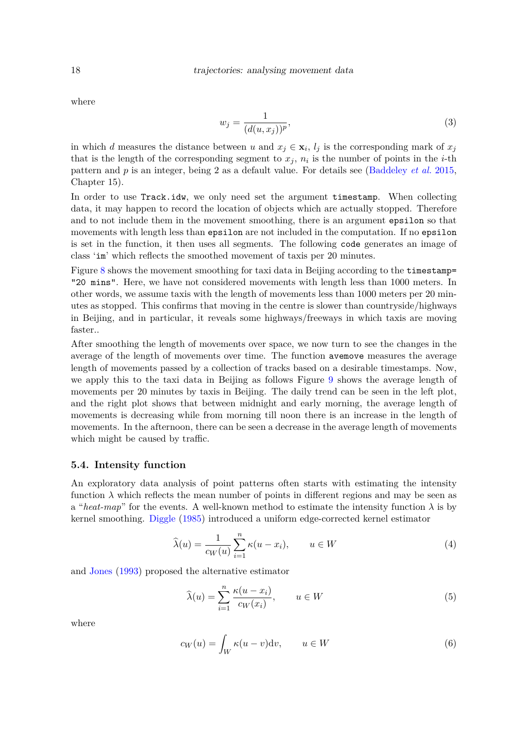where

$$
w_j = \frac{1}{(d(u, x_j))^p},\tag{3}
$$

in which *d* measures the distance between *u* and  $x_j \in \mathbf{x}_i$ ,  $l_j$  is the corresponding mark of  $x_j$ that is the length of the corresponding segment to  $x_j$ ,  $n_i$  is the number of points in the *i*-th pattern and *p* is an integer, being 2 as a default value. For details see [\(Baddeley](#page-26-4) *et al.* [2015,](#page-26-4) Chapter 15).

In order to use Track.idw, we only need set the argument timestamp. When collecting data, it may happen to record the location of objects which are actually stopped. Therefore and to not include them in the movement smoothing, there is an argument epsilon so that movements with length less than epsilon are not included in the computation. If no epsilon is set in the function, it then uses all segments. The following code generates an image of class 'im' which reflects the smoothed movement of taxis per 20 minutes.

Figure [8](#page-18-0) shows the movement smoothing for taxi data in Beijing according to the timestamp= "20 mins". Here, we have not considered movements with length less than 1000 meters. In other words, we assume taxis with the length of movements less than 1000 meters per 20 minutes as stopped. This confirms that moving in the centre is slower than countryside/highways in Beijing, and in particular, it reveals some highways/freeways in which taxis are moving faster..

After smoothing the length of movements over space, we now turn to see the changes in the average of the length of movements over time. The function avemove measures the average length of movements passed by a collection of tracks based on a desirable timestamps. Now, we apply this to the taxi data in Beijing as follows Figure [9](#page-19-0) shows the average length of movements per 20 minutes by taxis in Beijing. The daily trend can be seen in the left plot, and the right plot shows that between midnight and early morning, the average length of movements is decreasing while from morning till noon there is an increase in the length of movements. In the afternoon, there can be seen a decrease in the average length of movements which might be caused by traffic.

#### **5.4. Intensity function**

An exploratory data analysis of point patterns often starts with estimating the intensity function  $\lambda$  which reflects the mean number of points in different regions and may be seen as a "*heat-map*" for the events. A well-known method to estimate the intensity function  $\lambda$  is by kernel smoothing. [Diggle](#page-26-7) [\(1985\)](#page-26-7) introduced a uniform edge-corrected kernel estimator

<span id="page-17-0"></span>
$$
\widehat{\lambda}(u) = \frac{1}{c_W(u)} \sum_{i=1}^n \kappa(u - x_i), \qquad u \in W \tag{4}
$$

and [Jones](#page-27-14) [\(1993\)](#page-27-14) proposed the alternative estimator

<span id="page-17-1"></span>
$$
\widehat{\lambda}(u) = \sum_{i=1}^{n} \frac{\kappa(u - x_i)}{c_W(x_i)}, \qquad u \in W
$$
\n(5)

where

$$
c_W(u) = \int_W \kappa(u - v) \mathrm{d}v, \qquad u \in W \tag{6}
$$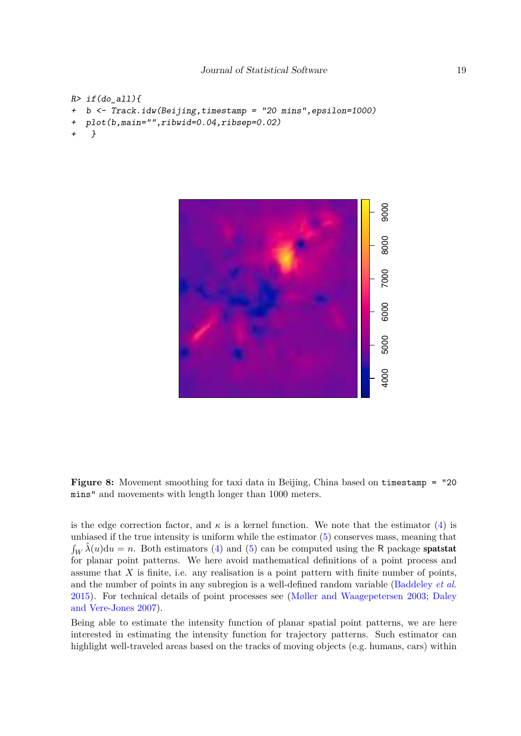```
R> if(do_all){
   b \leftarrow Track.idw(Beijing,timestamp = "20 mins",epsilon=1000)
   plot(b,main="",ribwid=0.04,ribsep=0.02)
    + }
```


**Figure 8:** Movement smoothing for taxi data in Beijing, China based on timestamp = "20 mins" and movements with length longer than 1000 meters.

is the edge correction factor, and  $\kappa$  is a kernel function. We note that the estimator [\(4\)](#page-17-0) is unbiased if the true intensity is uniform while the estimator [\(5\)](#page-17-1) conserves mass, meaning that  $\int_W \hat{\lambda}(u) \, du = n$ . Both estimators [\(4\)](#page-17-0) and [\(5\)](#page-17-1) can be computed using the R package spatstat for planar point patterns. We here avoid mathematical definitions of a point process and assume that  $X$  is finite, i.e. any realisation is a point pattern with finite number of points, and the number of points in any subregion is a well-defined random variable [\(Baddeley](#page-26-4) *et al.* [2015\)](#page-26-4). For technical details of point processes see [\(Møller and Waagepetersen 2003;](#page-27-11) [Daley](#page-26-6) [and Vere-Jones 2007\)](#page-26-6).

Being able to estimate the intensity function of planar spatial point patterns, we are here interested in estimating the intensity function for trajectory patterns. Such estimator can highlight well-traveled areas based on the tracks of moving objects (e.g. humans, cars) within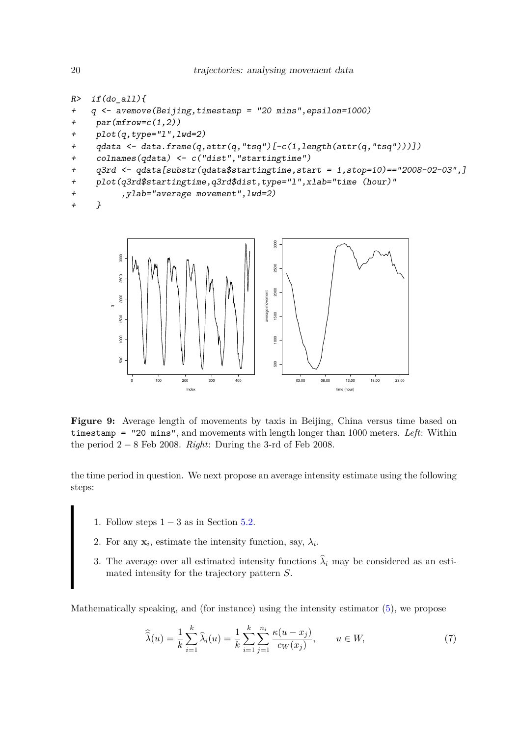```
R> if(do_all){
+ q <- avemove(Beijing,timestamp = "20 mins",epsilon=1000)
+ par(mfrow=c(1,2))+ plot(q,type="l",lwd=2)
+ qdata <- data.frame(q,attr(q,"tsq")[-c(1,length(attr(q,"tsq")))])
+ colnames(qdata) <- c("dist","startingtime")
+ q3rd <- qdata[substr(qdata$startingtime,start = 1,stop=10)=="2008-02-03",]
+ plot(q3rd$startingtime,q3rd$dist,type="l",xlab="time (hour)"
+ ,ylab="average movement",lwd=2)
+ }
```


**Figure 9:** Average length of movements by taxis in Beijing, China versus time based on timestamp = "20 mins", and movements with length longer than 1000 meters. *Left*: Within the period 2 − 8 Feb 2008. *Right*: During the 3-rd of Feb 2008.

the time period in question. We next propose an average intensity estimate using the following steps:

- 1. Follow steps  $1 3$  as in Section [5.2.](#page-13-0)
- 2. For any  $\mathbf{x}_i$ , estimate the intensity function, say,  $\lambda_i$ .
- 3. The average over all estimated intensity functions  $\hat{\lambda}_i$  may be considered as an estimated intensity for the trajectory pattern *S*.

Mathematically speaking, and (for instance) using the intensity estimator [\(5\)](#page-17-1), we propose

<span id="page-19-1"></span>
$$
\widehat{\widehat{\lambda}}(u) = \frac{1}{k} \sum_{i=1}^{k} \widehat{\lambda}_{i}(u) = \frac{1}{k} \sum_{i=1}^{k} \sum_{j=1}^{n_{i}} \frac{\kappa(u - x_{j})}{c_{W}(x_{j})}, \qquad u \in W,
$$
\n(7)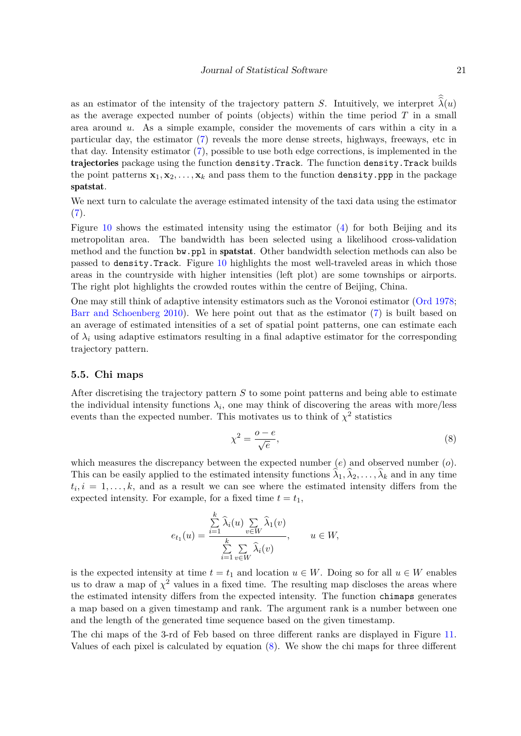as an estimator of the intensity of the trajectory pattern *S*. Intuitively, we interpret  $\hat{\lambda}(u)$ as the average expected number of points (objects) within the time period *T* in a small area around *u*. As a simple example, consider the movements of cars within a city in a particular day, the estimator [\(7\)](#page-19-1) reveals the more dense streets, highways, freeways, etc in that day. Intensity estimator [\(7\)](#page-19-1), possible to use both edge corrections, is implemented in the trajectories package using the function density.Track. The function density.Track builds the point patterns  $\mathbf{x}_1, \mathbf{x}_2, \ldots, \mathbf{x}_k$  and pass them to the function density.ppp in the package spatstat.

We next turn to calculate the average estimated intensity of the taxi data using the estimator  $(7).$  $(7).$ 

Figure [10](#page-21-0) shows the estimated intensity using the estimator  $(4)$  for both Beijing and its metropolitan area. The bandwidth has been selected using a likelihood cross-validation method and the function bw.ppl in spatstat. Other bandwidth selection methods can also be passed to density.Track. Figure [10](#page-21-0) highlights the most well-traveled areas in which those areas in the countryside with higher intensities (left plot) are some townships or airports. The right plot highlights the crowded routes within the centre of Beijing, China.

One may still think of adaptive intensity estimators such as the Voronoi estimator [\(Ord 1978;](#page-27-15) [Barr and Schoenberg 2010\)](#page-26-9). We here point out that as the estimator [\(7\)](#page-19-1) is built based on an average of estimated intensities of a set of spatial point patterns, one can estimate each of  $\lambda_i$  using adaptive estimators resulting in a final adaptive estimator for the corresponding trajectory pattern.

#### **5.5. Chi maps**

After discretising the trajectory pattern *S* to some point patterns and being able to estimate the individual intensity functions  $\lambda_i$ , one may think of discovering the areas with more/less events than the expected number. This motivates us to think of  $\chi^2$  statistics

<span id="page-20-0"></span>
$$
\chi^2 = \frac{o - e}{\sqrt{e}},\tag{8}
$$

which measures the discrepancy between the expected number (*e*) and observed number (*o*). This can be easily applied to the estimated intensity functions  $\lambda_1, \lambda_2, \ldots, \lambda_k$  and in any time  $t_i, i = 1, \ldots, k$ , and as a result we can see where the estimated intensity differs from the expected intensity. For example, for a fixed time  $t = t_1$ ,

$$
e_{t_1}(u) = \frac{\sum\limits_{i=1}^k \widehat{\lambda}_i(u) \sum\limits_{v \in W} \widehat{\lambda}_1(v)}{\sum\limits_{i=1}^k \sum\limits_{v \in W} \widehat{\lambda}_i(v)}, \qquad u \in W,
$$

is the expected intensity at time  $t = t_1$  and location  $u \in W$ . Doing so for all  $u \in W$  enables us to draw a map of  $\chi^2$  values in a fixed time. The resulting map discloses the areas where the estimated intensity differs from the expected intensity. The function chimaps generates a map based on a given timestamp and rank. The argument rank is a number between one and the length of the generated time sequence based on the given timestamp.

The chi maps of the 3-rd of Feb based on three different ranks are displayed in Figure [11.](#page-22-0) Values of each pixel is calculated by equation [\(8\)](#page-20-0). We show the chi maps for three different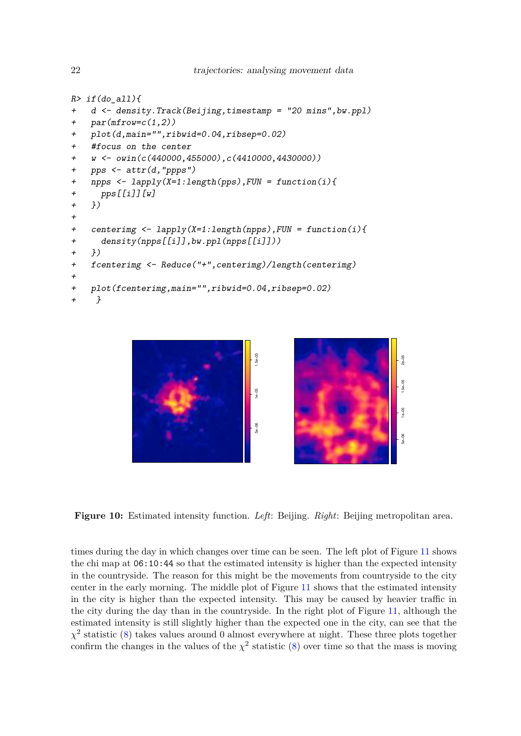```
R> if(do_all){
+ d <- density.Track(Beijing,timestamp = "20 mins",bw.ppl)
+ par(mfrow=c(1,2))
   plot(d,main="",ribwid=0.04,ribsep=0.02)
+ #focus on the center
\frac{+}{\text{w}} <- owin(c(440000,455000),c(4410000,4430000))
+ pps <- attr(d,"ppps")
+ npps <- lapply(X=1:length(pps),FUN = function(i){
+ pps[[i]][w]
+ })
+
+ centerimg <- lapply(X=1:length(npps),FUN = function(i){
+ density(npps[[i]],bw.ppl(npps[[i]]))
+ })
+ fcenterimg <- Reduce("+",centerimg)/length(centerimg)
+
+ plot(fcenterimg,main="",ribwid=0.04,ribsep=0.02)
+ }
```


**Figure 10:** Estimated intensity function. *Left*: Beijing. *Right*: Beijing metropolitan area.

times during the day in which changes over time can be seen. The left plot of Figure [11](#page-22-0) shows the chi map at 06:10:44 so that the estimated intensity is higher than the expected intensity in the countryside. The reason for this might be the movements from countryside to the city center in the early morning. The middle plot of Figure [11](#page-22-0) shows that the estimated intensity in the city is higher than the expected intensity. This may be caused by heavier traffic in the city during the day than in the countryside. In the right plot of Figure [11,](#page-22-0) although the estimated intensity is still slightly higher than the expected one in the city, can see that the  $\chi^2$  statistic [\(8\)](#page-20-0) takes values around 0 almost everywhere at night. These three plots together confirm the changes in the values of the  $\chi^2$  statistic [\(8\)](#page-20-0) over time so that the mass is moving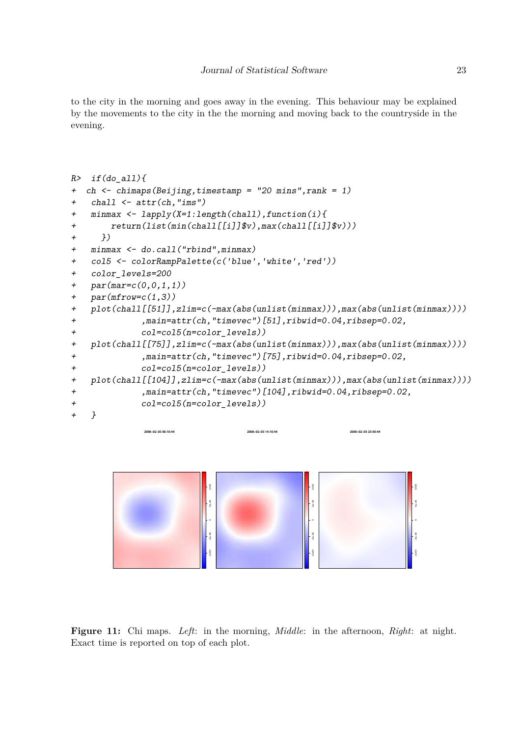to the city in the morning and goes away in the evening. This behaviour may be explained by the movements to the city in the the morning and moving back to the countryside in the evening.

```
R> if(do all){
+ ch <- chimaps(Beijing,timestamp = "20 mins",rank = 1)
+ chall <- attr(ch,"ims")
+ minmax <- lapply(X=1:length(chall),function(i){
+ return(list(min(chall[[i]]$v),max(chall[[i]]$v)))
+ })
+ minmax <- do.call("rbind",minmax)
+ col5 <- colorRampPalette(c('blue','white','red'))
+ color_levels=200
+ par(mar=c(0,0,1,1))
+ par(mfrow=c(1,3))
+ plot(chall[[51]],zlim=c(-max(abs(unlist(minmax))),max(abs(unlist(minmax))))
+ ,main=attr(ch,"timevec")[51],ribwid=0.04,ribsep=0.02,
+ col=col5(n=color_levels))
+ plot(chall[[75]],zlim=c(-max(abs(unlist(minmax))),max(abs(unlist(minmax))))
+ ,main=attr(ch,"timevec")[75],ribwid=0.04,ribsep=0.02,
+ col=col5(n=color_levels))
+ plot(chall[[104]],zlim=c(-max(abs(unlist(minmax))),max(abs(unlist(minmax))))
+ ,main=attr(ch,"timevec")[104],ribwid=0.04,ribsep=0.02,
+ col=col5(n=color_levels))
+ }
             2008−02−03 06:10:44 
                                 2008−02−03 14:10:44 
                                                     2008−02−03 23:50:44
```


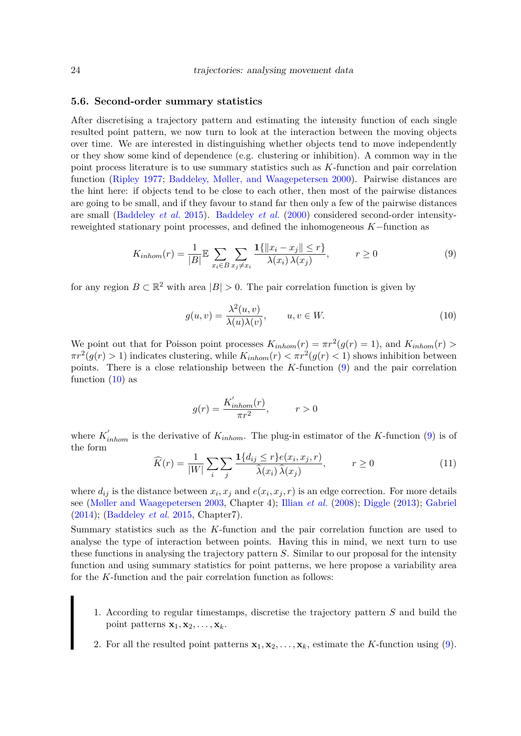#### **5.6. Second-order summary statistics**

After discretising a trajectory pattern and estimating the intensity function of each single resulted point pattern, we now turn to look at the interaction between the moving objects over time. We are interested in distinguishing whether objects tend to move independently or they show some kind of dependence (e.g. clustering or inhibition). A common way in the point process literature is to use summary statistics such as *K*-function and pair correlation function [\(Ripley 1977;](#page-28-11) [Baddeley, Møller, and Waagepetersen 2000\)](#page-26-10). Pairwise distances are the hint here: if objects tend to be close to each other, then most of the pairwise distances are going to be small, and if they favour to stand far then only a few of the pairwise distances are small [\(Baddeley](#page-26-4) *et al.* [2015\)](#page-26-4). [Baddeley](#page-26-10) *et al.* [\(2000\)](#page-26-10) considered second-order intensityreweighted stationary point processes, and defined the inhomogeneous *K*−function as

<span id="page-23-0"></span>
$$
K_{inhom}(r) = \frac{1}{|B|} \mathbb{E} \sum_{x_i \in B} \sum_{x_j \neq x_i} \frac{\mathbf{1}\{\|x_i - x_j\| \leq r\}}{\lambda(x_i)\,\lambda(x_j)}, \qquad r \geq 0
$$
\n
$$
(9)
$$

for any region  $B \subset \mathbb{R}^2$  with area  $|B| > 0$ . The pair correlation function is given by

<span id="page-23-1"></span>
$$
g(u,v) = \frac{\lambda^2(u,v)}{\lambda(u)\lambda(v)}, \qquad u, v \in W.
$$
 (10)

We point out that for Poisson point processes  $K_{inhom}(r) = \pi r^2(g(r) = 1)$ , and  $K_{inhom}(r) >$  $\pi r^2(g(r) > 1)$  indicates clustering, while  $K_{inhom}(r) < \pi r^2(g(r) < 1)$  shows inhibition between points. There is a close relationship between the *K*-function [\(9\)](#page-23-0) and the pair correlation function  $(10)$  as

$$
g(r) = \frac{K'_{inhom}(r)}{\pi r^2}, \qquad r > 0
$$

where  $K'_{inhom}$  is the derivative of  $K_{inhom}$ . The plug-in estimator of the *K*-function [\(9\)](#page-23-0) is of the form

$$
\widehat{K}(r) = \frac{1}{|W|} \sum_{i} \sum_{j} \frac{\mathbf{1}\{d_{ij} \le r\} e(x_i, x_j, r)}{\widehat{\lambda}(x_i)\,\widehat{\lambda}(x_j)}, \qquad r \ge 0
$$
\n(11)

where  $d_{ij}$  is the distance between  $x_i, x_j$  and  $e(x_i, x_j, r)$  is an edge correction. For more details see [\(Møller and Waagepetersen 2003,](#page-27-11) Chapter 4); [Illian](#page-27-12) *et al.* [\(2008\)](#page-27-12); [Diggle](#page-27-13) [\(2013\)](#page-27-13); [Gabriel](#page-27-16) [\(2014\)](#page-27-16); [\(Baddeley](#page-26-4) *et al.* [2015,](#page-26-4) Chapter7).

Summary statistics such as the *K*-function and the pair correlation function are used to analyse the type of interaction between points. Having this in mind, we next turn to use these functions in analysing the trajectory pattern *S*. Similar to our proposal for the intensity function and using summary statistics for point patterns, we here propose a variability area for the *K*-function and the pair correlation function as follows:

- 1. According to regular timestamps, discretise the trajectory pattern *S* and build the point patterns  $\mathbf{x}_1, \mathbf{x}_2, \ldots, \mathbf{x}_k$ .
- 2. For all the resulted point patterns  $\mathbf{x}_1, \mathbf{x}_2, \ldots, \mathbf{x}_k$ , estimate the *K*-function using [\(9\)](#page-23-0).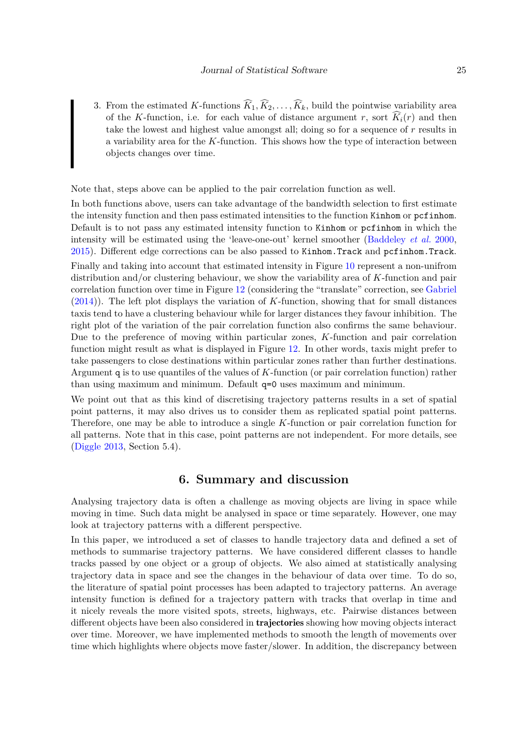3. From the estimated *K*-functions  $\widehat{K}_1, \widehat{K}_2, \ldots, \widehat{K}_k$ , build the pointwise variability area of the *K*-function, i.e. for each value of distance argument *r*, sort  $\widehat{K}_i(r)$  and then take the lowest and highest value amongst all; doing so for a sequence of *r* results in a variability area for the *K*-function. This shows how the type of interaction between objects changes over time.

Note that, steps above can be applied to the pair correlation function as well.

In both functions above, users can take advantage of the bandwidth selection to first estimate the intensity function and then pass estimated intensities to the function Kinhom or pcfinhom. Default is to not pass any estimated intensity function to Kinhom or pcfinhom in which the intensity will be estimated using the 'leave-one-out' kernel smoother [\(Baddeley](#page-26-10) *et al.* [2000,](#page-26-10) [2015\)](#page-26-4). Different edge corrections can be also passed to Kinhom.Track and pcfinhom.Track.

Finally and taking into account that estimated intensity in Figure [10](#page-21-0) represent a non-unifrom distribution and/or clustering behaviour, we show the variability area of *K*-function and pair correlation function over time in Figure [12](#page-25-0) (considering the "translate" correction, see [Gabriel](#page-27-16) [\(2014\)](#page-27-16)). The left plot displays the variation of *K*-function, showing that for small distances taxis tend to have a clustering behaviour while for larger distances they favour inhibition. The right plot of the variation of the pair correlation function also confirms the same behaviour. Due to the preference of moving within particular zones, *K*-function and pair correlation function might result as what is displayed in Figure [12.](#page-25-0) In other words, taxis might prefer to take passengers to close destinations within particular zones rather than further destinations. Argument q is to use quantiles of the values of *K*-function (or pair correlation function) rather than using maximum and minimum. Default q=0 uses maximum and minimum.

We point out that as this kind of discretising trajectory patterns results in a set of spatial point patterns, it may also drives us to consider them as replicated spatial point patterns. Therefore, one may be able to introduce a single *K*-function or pair correlation function for all patterns. Note that in this case, point patterns are not independent. For more details, see [\(Diggle 2013,](#page-27-13) Section 5.4).

# **6. Summary and discussion**

<span id="page-24-0"></span>Analysing trajectory data is often a challenge as moving objects are living in space while moving in time. Such data might be analysed in space or time separately. However, one may look at trajectory patterns with a different perspective.

In this paper, we introduced a set of classes to handle trajectory data and defined a set of methods to summarise trajectory patterns. We have considered different classes to handle tracks passed by one object or a group of objects. We also aimed at statistically analysing trajectory data in space and see the changes in the behaviour of data over time. To do so, the literature of spatial point processes has been adapted to trajectory patterns. An average intensity function is defined for a trajectory pattern with tracks that overlap in time and it nicely reveals the more visited spots, streets, highways, etc. Pairwise distances between different objects have been also considered in **trajectories** showing how moving objects interact over time. Moreover, we have implemented methods to smooth the length of movements over time which highlights where objects move faster/slower. In addition, the discrepancy between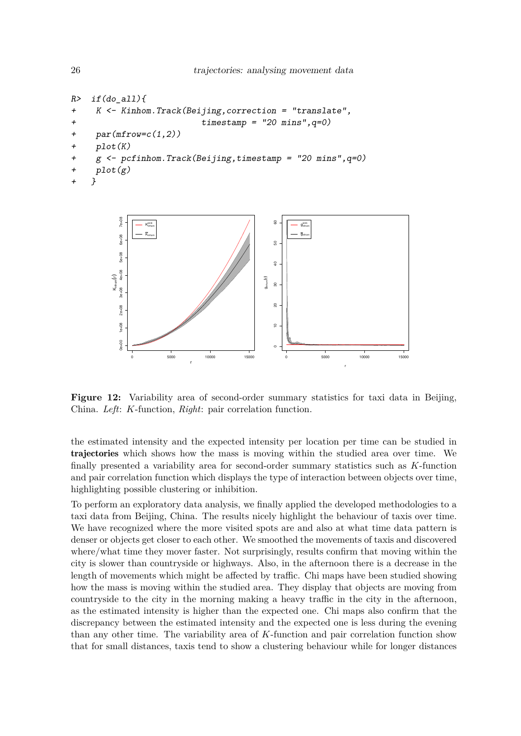```
R> if(do_all){
+ K <- Kinhom.Track(Beijing,correction = "translate",
+ timestamp = "20 mins",q=0)
+ par(mfrow=c(1,2))
+ plot(K)
+ g <- pcfinhom.Track(Beijing,timestamp = "20 mins",q=0)
+ plot(g)
   + }
```


**Figure 12:** Variability area of second-order summary statistics for taxi data in Beijing, China. *Left*: *K*-function, *Right*: pair correlation function.

the estimated intensity and the expected intensity per location per time can be studied in trajectories which shows how the mass is moving within the studied area over time. We finally presented a variability area for second-order summary statistics such as *K*-function and pair correlation function which displays the type of interaction between objects over time, highlighting possible clustering or inhibition.

To perform an exploratory data analysis, we finally applied the developed methodologies to a taxi data from Beijing, China. The results nicely highlight the behaviour of taxis over time. We have recognized where the more visited spots are and also at what time data pattern is denser or objects get closer to each other. We smoothed the movements of taxis and discovered where/what time they mover faster. Not surprisingly, results confirm that moving within the city is slower than countryside or highways. Also, in the afternoon there is a decrease in the length of movements which might be affected by traffic. Chi maps have been studied showing how the mass is moving within the studied area. They display that objects are moving from countryside to the city in the morning making a heavy traffic in the city in the afternoon, as the estimated intensity is higher than the expected one. Chi maps also confirm that the discrepancy between the estimated intensity and the expected one is less during the evening than any other time. The variability area of *K*-function and pair correlation function show that for small distances, taxis tend to show a clustering behaviour while for longer distances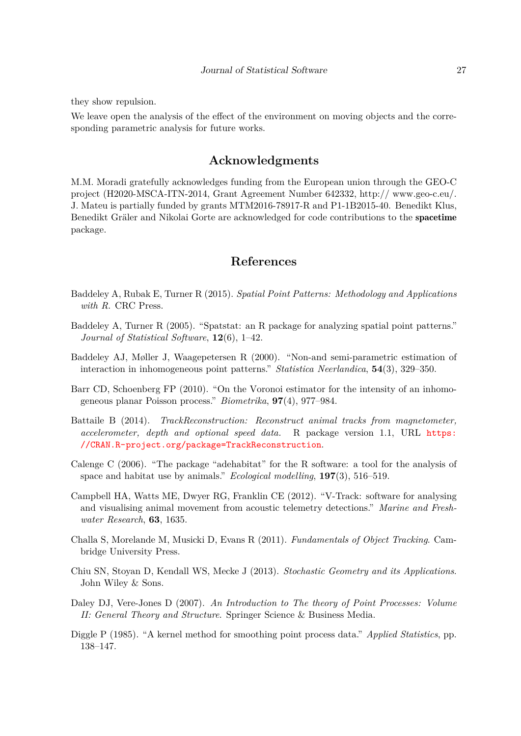they show repulsion.

We leave open the analysis of the effect of the environment on moving objects and the corresponding parametric analysis for future works.

# **Acknowledgments**

M.M. Moradi gratefully acknowledges funding from the European union through the GEO-C project (H2020-MSCA-ITN-2014, Grant Agreement Number 642332, http:// www.geo-c.eu/. J. Mateu is partially funded by grants MTM2016-78917-R and P1-1B2015-40. Benedikt Klus, Benedikt Gräler and Nikolai Gorte are acknowledged for code contributions to the spacetime package.

# **References**

- <span id="page-26-4"></span>Baddeley A, Rubak E, Turner R (2015). *Spatial Point Patterns: Methodology and Applications with R*. CRC Press.
- <span id="page-26-5"></span>Baddeley A, Turner R (2005). "Spatstat: an R package for analyzing spatial point patterns." *Journal of Statistical Software*, **12**(6), 1–42.
- <span id="page-26-10"></span>Baddeley AJ, Møller J, Waagepetersen R (2000). "Non-and semi-parametric estimation of interaction in inhomogeneous point patterns." *Statistica Neerlandica*, **54**(3), 329–350.
- <span id="page-26-9"></span>Barr CD, Schoenberg FP (2010). "On the Voronoi estimator for the intensity of an inhomogeneous planar Poisson process." *Biometrika*, **97**(4), 977–984.
- <span id="page-26-3"></span>Battaile B (2014). *TrackReconstruction: Reconstruct animal tracks from magnetometer, accelerometer, depth and optional speed data.* R package version 1.1, URL [https:](https://CRAN.R-project.org/package=TrackReconstruction) [//CRAN.R-project.org/package=TrackReconstruction](https://CRAN.R-project.org/package=TrackReconstruction).
- <span id="page-26-1"></span>Calenge C (2006). "The package "adehabitat" for the R software: a tool for the analysis of space and habitat use by animals." *Ecological modelling*, **197**(3), 516–519.
- <span id="page-26-2"></span>Campbell HA, Watts ME, Dwyer RG, Franklin CE (2012). "V-Track: software for analysing and visualising animal movement from acoustic telemetry detections." *Marine and Freshwater Research*, **63**, 1635.
- <span id="page-26-0"></span>Challa S, Morelande M, Musicki D, Evans R (2011). *Fundamentals of Object Tracking*. Cambridge University Press.
- <span id="page-26-8"></span>Chiu SN, Stoyan D, Kendall WS, Mecke J (2013). *Stochastic Geometry and its Applications*. John Wiley & Sons.
- <span id="page-26-6"></span>Daley DJ, Vere-Jones D (2007). *An Introduction to The theory of Point Processes: Volume II: General Theory and Structure*. Springer Science & Business Media.
- <span id="page-26-7"></span>Diggle P (1985). "A kernel method for smoothing point process data." *Applied Statistics*, pp. 138–147.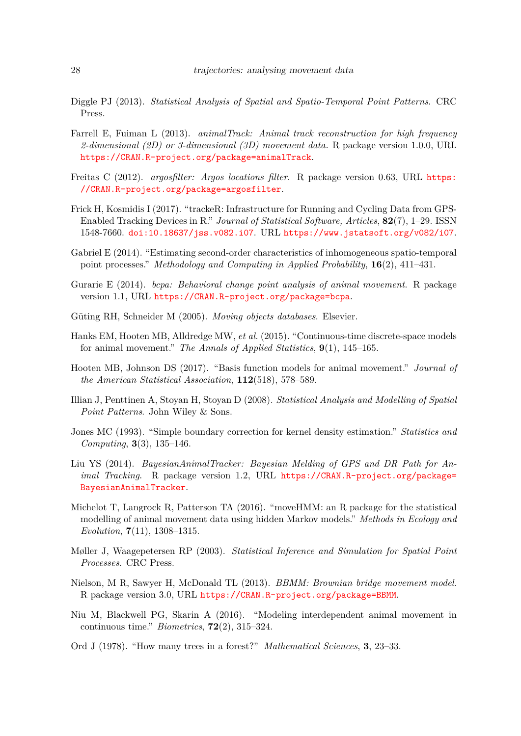- <span id="page-27-13"></span>Diggle PJ (2013). *Statistical Analysis of Spatial and Spatio-Temporal Point Patterns*. CRC Press.
- <span id="page-27-5"></span>Farrell E, Fuiman L (2013). *animalTrack: Animal track reconstruction for high frequency 2-dimensional (2D) or 3-dimensional (3D) movement data.* R package version 1.0.0, URL <https://CRAN.R-project.org/package=animalTrack>.
- <span id="page-27-4"></span>Freitas C (2012). *argosfilter: Argos locations filter*. R package version 0.63, URL [https:](https://CRAN.R-project.org/package=argosfilter) [//CRAN.R-project.org/package=argosfilter](https://CRAN.R-project.org/package=argosfilter).
- <span id="page-27-10"></span>Frick H, Kosmidis I (2017). "trackeR: Infrastructure for Running and Cycling Data from GPS-Enabled Tracking Devices in R." *Journal of Statistical Software, Articles*, **82**(7), 1–29. ISSN 1548-7660. [doi:10.18637/jss.v082.i07](http://dx.doi.org/10.18637/jss.v082.i07). URL <https://www.jstatsoft.org/v082/i07>.
- <span id="page-27-16"></span>Gabriel E (2014). "Estimating second-order characteristics of inhomogeneous spatio-temporal point processes." *Methodology and Computing in Applied Probability*, **16**(2), 411–431.
- <span id="page-27-7"></span>Gurarie E (2014). *bcpa: Behavioral change point analysis of animal movement*. R package version 1.1, URL <https://CRAN.R-project.org/package=bcpa>.
- <span id="page-27-0"></span>Güting RH, Schneider M (2005). *Moving objects databases*. Elsevier.
- <span id="page-27-1"></span>Hanks EM, Hooten MB, Alldredge MW, *et al.* (2015). "Continuous-time discrete-space models for animal movement." *The Annals of Applied Statistics*, **9**(1), 145–165.
- <span id="page-27-3"></span>Hooten MB, Johnson DS (2017). "Basis function models for animal movement." *Journal of the American Statistical Association*, **112**(518), 578–589.
- <span id="page-27-12"></span>Illian J, Penttinen A, Stoyan H, Stoyan D (2008). *Statistical Analysis and Modelling of Spatial Point Patterns*. John Wiley & Sons.
- <span id="page-27-14"></span>Jones MC (1993). "Simple boundary correction for kernel density estimation." *Statistics and Computing*, **3**(3), 135–146.
- <span id="page-27-8"></span>Liu YS (2014). *BayesianAnimalTracker: Bayesian Melding of GPS and DR Path for Animal Tracking.* R package version 1.2, URL [https://CRAN.R-project.org/package=](https://CRAN.R-project.org/package=BayesianAnimalTracker) [BayesianAnimalTracker](https://CRAN.R-project.org/package=BayesianAnimalTracker).
- <span id="page-27-9"></span>Michelot T, Langrock R, Patterson TA (2016). "moveHMM: an R package for the statistical modelling of animal movement data using hidden Markov models." *Methods in Ecology and Evolution*, **7**(11), 1308–1315.
- <span id="page-27-11"></span>Møller J, Waagepetersen RP (2003). *Statistical Inference and Simulation for Spatial Point Processes*. CRC Press.
- <span id="page-27-6"></span>Nielson, M R, Sawyer H, McDonald TL (2013). *BBMM: Brownian bridge movement model*. R package version 3.0, URL <https://CRAN.R-project.org/package=BBMM>.
- <span id="page-27-2"></span>Niu M, Blackwell PG, Skarin A (2016). "Modeling interdependent animal movement in continuous time." *Biometrics*, **72**(2), 315–324.
- <span id="page-27-15"></span>Ord J (1978). "How many trees in a forest?" *Mathematical Sciences*, **3**, 23–33.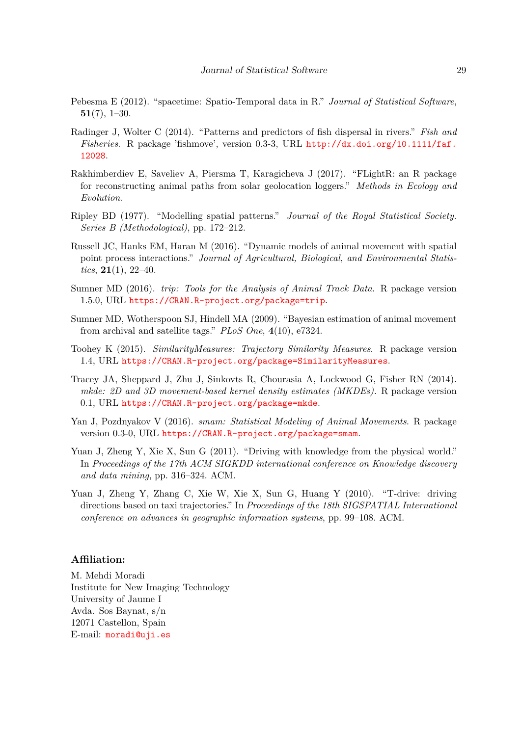- <span id="page-28-8"></span>Pebesma E (2012). "spacetime: Spatio-Temporal data in R." *Journal of Statistical Software*, **51**(7), 1–30.
- <span id="page-28-7"></span>Radinger J, Wolter C (2014). "Patterns and predictors of fish dispersal in rivers." *Fish and Fisheries*. R package 'fishmove', version 0.3-3, URL [http://dx.doi.org/10.1111/faf.](http://dx.doi.org/10.1111/faf.12028) [12028](http://dx.doi.org/10.1111/faf.12028).
- <span id="page-28-6"></span>Rakhimberdiev E, Saveliev A, Piersma T, Karagicheva J (2017). "FLightR: an R package for reconstructing animal paths from solar geolocation loggers." *Methods in Ecology and Evolution*.
- <span id="page-28-11"></span>Ripley BD (1977). "Modelling spatial patterns." *Journal of the Royal Statistical Society. Series B (Methodological)*, pp. 172–212.
- <span id="page-28-0"></span>Russell JC, Hanks EM, Haran M (2016). "Dynamic models of animal movement with spatial point process interactions." *Journal of Agricultural, Biological, and Environmental Statistics*, **21**(1), 22–40.
- <span id="page-28-5"></span>Sumner MD (2016). *trip: Tools for the Analysis of Animal Track Data*. R package version 1.5.0, URL <https://CRAN.R-project.org/package=trip>.
- <span id="page-28-1"></span>Sumner MD, Wotherspoon SJ, Hindell MA (2009). "Bayesian estimation of animal movement from archival and satellite tags." *PLoS One*, **4**(10), e7324.
- <span id="page-28-3"></span>Toohey K (2015). *SimilarityMeasures: Trajectory Similarity Measures*. R package version 1.4, URL <https://CRAN.R-project.org/package=SimilarityMeasures>.
- <span id="page-28-2"></span>Tracey JA, Sheppard J, Zhu J, Sinkovts R, Chourasia A, Lockwood G, Fisher RN (2014). *mkde: 2D and 3D movement-based kernel density estimates (MKDEs).* R package version 0.1, URL <https://CRAN.R-project.org/package=mkde>.
- <span id="page-28-4"></span>Yan J, Pozdnyakov V (2016). *smam: Statistical Modeling of Animal Movements*. R package version 0.3-0, URL <https://CRAN.R-project.org/package=smam>.
- <span id="page-28-10"></span>Yuan J, Zheng Y, Xie X, Sun G (2011). "Driving with knowledge from the physical world." In *Proceedings of the 17th ACM SIGKDD international conference on Knowledge discovery and data mining*, pp. 316–324. ACM.
- <span id="page-28-9"></span>Yuan J, Zheng Y, Zhang C, Xie W, Xie X, Sun G, Huang Y (2010). "T-drive: driving directions based on taxi trajectories." In *Proceedings of the 18th SIGSPATIAL International conference on advances in geographic information systems*, pp. 99–108. ACM.

## **Affiliation:**

M. Mehdi Moradi Institute for New Imaging Technology University of Jaume I Avda. Sos Baynat, s/n 12071 Castellon, Spain E-mail: [moradi@uji.es](mailto:moradi@uji.es)